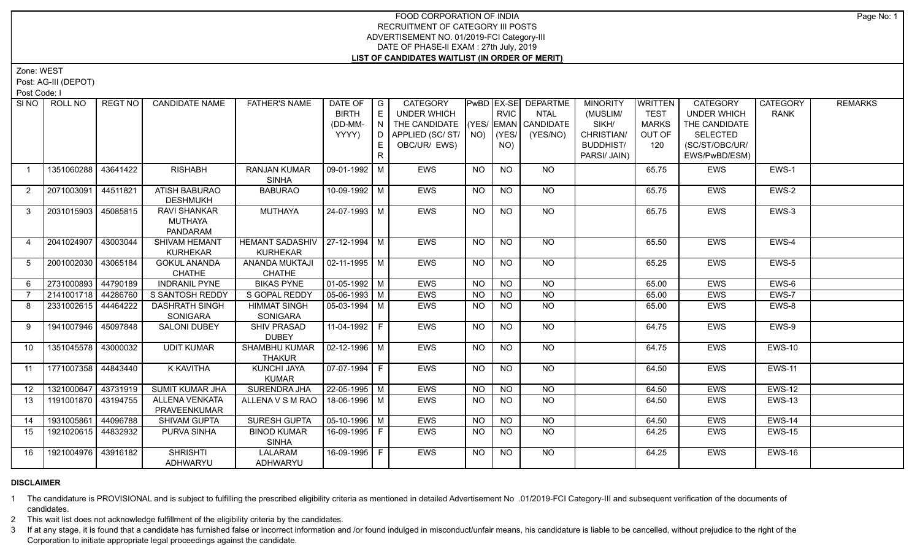Zone: WEST

Post: AG-III (DEPOT)

Post Code: I

| SI NO            | ROLL NO               | REGT NO  | <b>CANDIDATE NAME</b>  | <b>FATHER'S NAME</b>             | DATE OF                | $\overline{\phantom{a}}$ $\overline{\phantom{a}}$ | <b>CATEGORY</b>        |                 |                 | PwBD   EX-SE   DEPARTME | <b>MINORITY</b>  | WRITTEN      | <b>CATEGORY</b>    | <b>CATEGORY</b> | <b>REMARKS</b> |
|------------------|-----------------------|----------|------------------------|----------------------------------|------------------------|---------------------------------------------------|------------------------|-----------------|-----------------|-------------------------|------------------|--------------|--------------------|-----------------|----------------|
|                  |                       |          |                        |                                  | <b>BIRTH</b>           | E                                                 | <b>UNDER WHICH</b>     |                 | <b>RVIC</b>     | <b>NTAL</b>             | (MUSLIM/         | <b>TEST</b>  | <b>UNDER WHICH</b> | <b>RANK</b>     |                |
|                  |                       |          |                        |                                  | (DD-MM-                | N                                                 | THE CANDIDATE          |                 |                 | (YES/ EMAN CANDIDATE    | SIKH/            | <b>MARKS</b> | THE CANDIDATE      |                 |                |
|                  |                       |          |                        |                                  | YYYY)                  | ID <sub>1</sub>                                   | APPLIED (SC/ ST/   NO) |                 | $ $ (YES/       | (YES/NO)                | CHRISTIAN/       | OUT OF       | <b>SELECTED</b>    |                 |                |
|                  |                       |          |                        |                                  |                        | E                                                 | OBC/UR/ EWS)           |                 | NO)             |                         | <b>BUDDHIST/</b> | 120          | (SC/ST/OBC/UR/     |                 |                |
|                  |                       |          |                        |                                  |                        | R.                                                |                        |                 |                 |                         | PARSI/ JAIN)     |              | EWS/PwBD/ESM)      |                 |                |
| $\overline{1}$   | 1351060288            | 43641422 | <b>RISHABH</b>         | <b>RANJAN KUMAR</b>              | 09-01-1992   M         |                                                   | <b>EWS</b>             | <b>NO</b>       | <b>NO</b>       | <b>NO</b>               |                  | 65.75        | EWS                | EWS-1           |                |
|                  |                       |          |                        | <b>SINHA</b>                     |                        |                                                   |                        |                 |                 |                         |                  |              |                    |                 |                |
| $\overline{2}$   | 2071003091            | 44511821 | <b>ATISH BABURAO</b>   | <b>BABURAO</b>                   | 10-09-1992 M           |                                                   | EWS                    | <b>NO</b>       | <b>NO</b>       | <b>NO</b>               |                  | 65.75        | EWS                | EWS-2           |                |
|                  |                       |          | <b>DESHMUKH</b>        |                                  |                        |                                                   |                        |                 |                 |                         |                  |              |                    |                 |                |
| 3                | 2031015903            | 45085815 | RAVI SHANKAR           | <b>MUTHAYA</b>                   | 24-07-1993 M           |                                                   | EWS                    | <b>NO</b>       | <b>NO</b>       | NO                      |                  | 65.75        | EWS                | EWS-3           |                |
|                  |                       |          | MUTHAYA                |                                  |                        |                                                   |                        |                 |                 |                         |                  |              |                    |                 |                |
|                  |                       |          | PANDARAM               |                                  |                        |                                                   |                        |                 |                 |                         |                  |              |                    |                 |                |
| $\overline{4}$   | 2041024907            | 43003044 | <b>SHIVAM HEMANT</b>   | HEMANT SADASHIV   27-12-1994   M |                        |                                                   | <b>EWS</b>             | <b>NO</b>       | NO              | NO                      |                  | 65.50        | <b>EWS</b>         | EWS-4           |                |
|                  |                       |          | <b>KURHEKAR</b>        | <b>KURHEKAR</b>                  |                        |                                                   |                        |                 |                 |                         |                  |              |                    |                 |                |
| 5                | 2001002030            | 43065184 | <b>GOKUL ANANDA</b>    | ANANDA MUKTAJI                   | 02-11-1995   M         |                                                   | <b>EWS</b>             | <b>NO</b>       | $\overline{NQ}$ | $\overline{NO}$         |                  | 65.25        | <b>EWS</b>         | EWS-5           |                |
|                  |                       |          | <b>CHATHE</b>          | <b>CHATHE</b>                    |                        |                                                   |                        |                 |                 |                         |                  |              |                    |                 |                |
| 6                | 2731000893 44790189   |          | <b>INDRANIL PYNE</b>   | <b>BIKAS PYNE</b>                | $\boxed{01-05-1992}$ M |                                                   | <b>EWS</b>             | <b>NO</b>       | N <sub>O</sub>  | $\overline{NO}$         |                  | 65.00        | <b>EWS</b>         | EWS-6           |                |
|                  | 2141001718            | 44286760 | S SANTOSH REDDY        | S GOPAL REDDY                    | $\sqrt{05-06-1993}$ M  |                                                   | <b>EWS</b>             | <b>NO</b>       | <b>NO</b>       | <b>NO</b>               |                  | 65.00        | EWS                | EWS-7           |                |
| 8                | 2331002615   44464222 |          | <b>DASHRATH SINGH</b>  | <b>HIMMAT SINGH</b>              | 05-03-1994   M         |                                                   | <b>EWS</b>             | NO.             | <b>NO</b>       | NO                      |                  | 65.00        | <b>EWS</b>         | EWS-8           |                |
|                  |                       |          | SONIGARA               | <b>SONIGARA</b>                  |                        |                                                   |                        |                 |                 |                         |                  |              |                    |                 |                |
| 9                | 1941007946 45097848   |          | <b>SALONI DUBEY</b>    | <b>SHIV PRASAD</b>               | 11-04-1992 F           |                                                   | <b>EWS</b>             | NO.             | <b>NO</b>       | NO                      |                  | 64.75        | <b>EWS</b>         | EWS-9           |                |
|                  |                       |          |                        | <b>DUBEY</b>                     |                        |                                                   |                        |                 |                 |                         |                  |              |                    |                 |                |
| 10               | 1351045578 43000032   |          | <b>UDIT KUMAR</b>      | <b>SHAMBHU KUMAR</b>             | 02-12-1996   M         |                                                   | <b>EWS</b>             | <b>NO</b>       | <b>NO</b>       | NO                      |                  | 64.75        | <b>EWS</b>         | <b>EWS-10</b>   |                |
|                  |                       |          |                        | <b>THAKUR</b>                    |                        |                                                   |                        |                 |                 |                         |                  |              |                    |                 |                |
| 11               | 1771007358 44843440   |          | K KAVITHA              | KUNCHI JAYA                      | 07-07-1994   F         |                                                   | <b>EWS</b>             | <b>NO</b>       | <b>NO</b>       | NO.                     |                  | 64.50        | <b>EWS</b>         | <b>EWS-11</b>   |                |
|                  |                       |          |                        | <b>KUMAR</b>                     |                        |                                                   |                        |                 |                 |                         |                  |              |                    |                 |                |
| 12 <sup>12</sup> | 1321000647 43731919   |          | <b>SUMIT KUMAR JHA</b> | <b>SURENDRA JHA</b>              | $22 - 05 - 1995$ M     |                                                   | <b>EWS</b>             | $\overline{NO}$ | $\overline{NO}$ | NO                      |                  | 64.50        | <b>EWS</b>         | <b>EWS-12</b>   |                |
| 13               | 1191001870 43194755   |          | ALLENA VENKATA         | ALLENA V S M RAO                 | 18-06-1996 M           |                                                   | <b>EWS</b>             | NO.             | <b>NO</b>       | $\overline{NO}$         |                  | 64.50        | <b>EWS</b>         | <b>EWS-13</b>   |                |
|                  |                       |          | PRAVEENKUMAR           |                                  |                        |                                                   |                        |                 |                 |                         |                  |              |                    |                 |                |
| 14               | 1931005861            | 44096788 | <b>SHIVAM GUPTA</b>    | <b>SURESH GUPTA</b>              | 05-10-1996   M         |                                                   | <b>EWS</b>             | <b>NO</b>       | <b>NO</b>       | NO                      |                  | 64.50        | <b>EWS</b>         | <b>EWS-14</b>   |                |
| 15               | 1921020615 44832932   |          | PURVA SINHA            | <b>BINOD KUMAR</b>               | 16-09-1995 F           |                                                   | <b>EWS</b>             | <b>NO</b>       | $\overline{NO}$ | $N$ <sup>O</sup>        |                  | 64.25        | EWS                | <b>EWS-15</b>   |                |
|                  |                       |          |                        | <b>SINHA</b>                     |                        |                                                   |                        |                 |                 |                         |                  |              |                    |                 |                |
| 16               | 1921004976 43916182   |          | <b>SHRISHTI</b>        | LALARAM                          | 16-09-1995 F           |                                                   | <b>EWS</b>             | <b>NO</b>       | <b>NO</b>       | $N$ O                   |                  | 64.25        | EWS                | <b>EWS-16</b>   |                |
|                  |                       |          | <b>ADHWARYU</b>        | ADHWARYU                         |                        |                                                   |                        |                 |                 |                         |                  |              |                    |                 |                |

## **DISCLAIMER**

1 The candidature is PROVISIONAL and is subject to fulfilling the prescribed eligibility criteria as mentioned in detailed Advertisement No .01/2019-FCI Category-III and subsequent verification of the documents of candidates.

2 This wait list does not acknowledge fulfillment of the eligibility criteria by the candidates.

3 If at any stage, it is found that a candidate has furnished false or incorrect information and /or found indulged in misconduct/unfair means, his candidature is liable to be cancelled, without prejudice to the right of t Corporation to initiate appropriate legal proceedings against the candidate.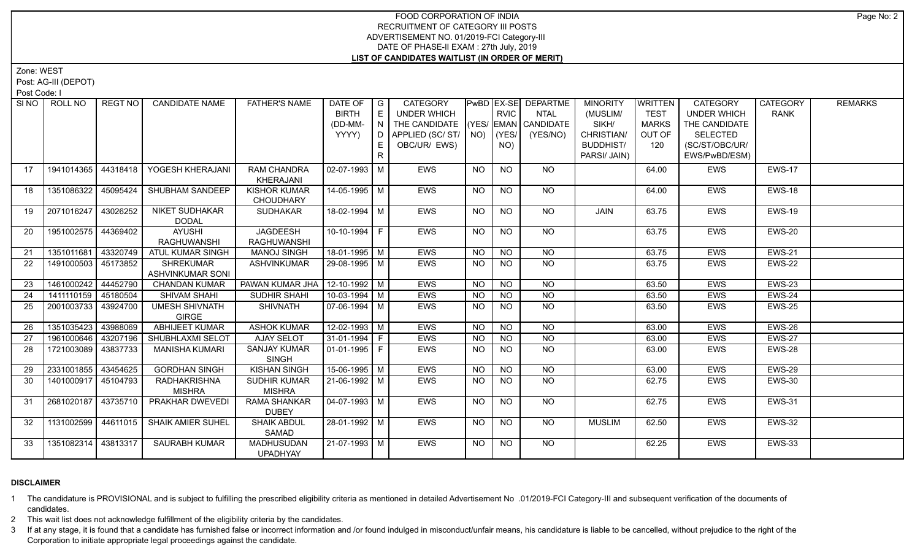Zone: WEST

Post: AG-III (DEPOT)

Post Code: I

|    | SINO   ROLL NO      | REGT NO I | <b>CANDIDATE NAME</b>    | <b>FATHER'S NAME</b> | DATE OF            | $\overline{G}$ | <b>CATEGORY</b> |             |                | PwBD   EX-SE   DEPARTME | <b>MINORITY</b>  | <b>WRITTEN</b> | <b>CATEGORY</b>    | <b>CATEGORY</b> | <b>REMARKS</b> |
|----|---------------------|-----------|--------------------------|----------------------|--------------------|----------------|-----------------|-------------|----------------|-------------------------|------------------|----------------|--------------------|-----------------|----------------|
|    |                     |           |                          |                      | <b>BIRTH</b>       | E              | UNDER WHICH     |             | <b>RVIC</b>    | <b>NTAL</b>             | (MUSLIM/         | <b>TEST</b>    | <b>UNDER WHICH</b> | <b>RANK</b>     |                |
|    |                     |           |                          |                      | (DD-MM-            | $\overline{N}$ | THE CANDIDATE   |             |                | (YES/ EMAN CANDIDATE    | SIKH/            | <b>MARKS</b>   | THE CANDIDATE      |                 |                |
|    |                     |           |                          |                      | YYYY)              | D.             | APPLIED (SC/ST/ | $NO)$ (YES/ |                | (YES/NO)                | CHRISTIAN/       | OUT OF         | <b>SELECTED</b>    |                 |                |
|    |                     |           |                          |                      |                    | E              | OBC/UR/ EWS)    |             | NO)            |                         | <b>BUDDHIST/</b> | 120            | (SC/ST/OBC/UR/     |                 |                |
|    |                     |           |                          |                      |                    | $\mathsf{R}$   |                 |             |                |                         | PARSI/ JAIN)     |                | EWS/PwBD/ESM)      |                 |                |
| 17 | 1941014365          | 44318418  | YOGESH KHERAJANI         | <b>RAM CHANDRA</b>   | $02-07-1993$ M     |                | <b>EWS</b>      | NO          | <b>NO</b>      | NO                      |                  | 64.00          | <b>EWS</b>         | <b>EWS-17</b>   |                |
|    |                     |           |                          | KHERAJANI            |                    |                |                 |             |                |                         |                  |                |                    |                 |                |
| 18 | 1351086322          | 45095424  | SHUBHAM SANDEEP          | <b>KISHOR KUMAR</b>  | 14-05-1995 M       |                | <b>EWS</b>      | <b>NO</b>   | <b>NO</b>      | <b>NO</b>               |                  | 64.00          | <b>EWS</b>         | <b>EWS-18</b>   |                |
|    |                     |           |                          | <b>CHOUDHARY</b>     |                    |                |                 |             |                |                         |                  |                |                    |                 |                |
| 19 | 2071016247          | 43026252  | <b>NIKET SUDHAKAR</b>    | <b>SUDHAKAR</b>      | 18-02-1994 M       |                | EWS             | <b>NO</b>   | <b>NO</b>      | <b>NO</b>               | JAIN             | 63.75          | <b>EWS</b>         | <b>EWS-19</b>   |                |
|    |                     |           | <b>DODAL</b>             |                      |                    |                |                 |             |                |                         |                  |                |                    |                 |                |
| 20 | 1951002575 44369402 |           | <b>AYUSHI</b>            | <b>JAGDEESH</b>      | $10-10-1994$ F     |                | EWS             | NO.         | <b>NO</b>      | NO                      |                  | 63.75          | <b>EWS</b>         | <b>EWS-20</b>   |                |
|    |                     |           | <b>RAGHUWANSHI</b>       | <b>RAGHUWANSHI</b>   |                    |                |                 |             |                |                         |                  |                |                    |                 |                |
| 21 | 1351011681          | 43320749  | ATUL KUMAR SINGH         | <b>MANOJ SINGH</b>   | $18-01-1995$ M     |                | <b>EWS</b>      | <b>NO</b>   | $N$ O          | N <sub>O</sub>          |                  | 63.75          | <b>EWS</b>         | <b>EWS-21</b>   |                |
| 22 | 1491000503 45173852 |           | <b>SHREKUMAR</b>         | <b>ASHVINKUMAR</b>   | 29-08-1995 M       |                | <b>EWS</b>      | NO.         | <b>NO</b>      | N <sub>O</sub>          |                  | 63.75          | <b>EWS</b>         | EWS-22          |                |
|    |                     |           | <b>ASHVINKUMAR SONI</b>  |                      |                    |                |                 |             |                |                         |                  |                |                    |                 |                |
| 23 | 1461000242          | 44452790  | <b>CHANDAN KUMAR</b>     | PAWAN KUMAR JHA      | $12-10-1992$ M     |                | <b>EWS</b>      | <b>NO</b>   | NO             | N <sub>O</sub>          |                  | 63.50          | <b>EWS</b>         | <b>EWS-23</b>   |                |
| 24 | 1411110159          | 45180504  | <b>SHIVAM SHAHI</b>      | SUDHIR SHAHI         | $10-03-1994$ M     |                | EWS             | $N$ O       | <b>NO</b>      | $N$ O                   |                  | 63.50          | <b>EWS</b>         | <b>EWS-24</b>   |                |
| 25 | 2001003733          | 43924700  | <b>UMESH SHIVNATH</b>    | <b>SHIVNATH</b>      | 07-06-1994 M       |                | EWS             | NO.         | N <sub>O</sub> | N <sub>O</sub>          |                  | 63.50          | <b>EWS</b>         | EWS-25          |                |
|    |                     |           | <b>GIRGE</b>             |                      |                    |                |                 |             |                |                         |                  |                |                    |                 |                |
| 26 | 1351035423          | 43988069  | <b>ABHIJEET KUMAR</b>    | <b>ASHOK KUMAR</b>   | $12 - 02 - 1993$ M |                | <b>EWS</b>      | <b>NO</b>   | <b>NO</b>      | <b>NO</b>               |                  | 63.00          | <b>EWS</b>         | <b>EWS-26</b>   |                |
| 27 | 1961000646          | 43207196  | SHUBHLAXMI SELOT         | <b>AJAY SELOT</b>    | $31-01-1994$ F     |                | EWS             | <b>NO</b>   | <b>NO</b>      | <b>NO</b>               |                  | 63.00          | <b>EWS</b>         | <b>EWS-27</b>   |                |
| 28 | 1721003089          | 43837733  | <b>MANISHA KUMARI</b>    | <b>SANJAY KUMAR</b>  | $01-01-1995$ F     |                | EWS             | NO.         | <b>NO</b>      | <b>NO</b>               |                  | 63.00          | <b>EWS</b>         | EWS-28          |                |
|    |                     |           |                          | SINGH                |                    |                |                 |             |                |                         |                  |                |                    |                 |                |
| 29 | 2331001855 43454625 |           | <b>GORDHAN SINGH</b>     | <b>KISHAN SINGH</b>  | 15-06-1995 M       |                | EWS             | <b>NO</b>   | <b>NO</b>      | <b>NO</b>               |                  | 63.00          | <b>EWS</b>         | EWS-29          |                |
| 30 | 1401000917 45104793 |           | <b>RADHAKRISHNA</b>      | SUDHIR KUMAR         | 21-06-1992 M       |                | <b>EWS</b>      | NO.         | <b>NO</b>      | <b>NO</b>               |                  | 62.75          | <b>EWS</b>         | <b>EWS-30</b>   |                |
|    |                     |           | <b>MISHRA</b>            | <b>MISHRA</b>        |                    |                |                 |             |                |                         |                  |                |                    |                 |                |
| 31 | 2681020187 43735710 |           | PRAKHAR DWEVEDI          | <b>RAMA SHANKAR</b>  | $04-07-1993$ M     |                | <b>EWS</b>      | <b>NO</b>   | N <sub>O</sub> | N <sub>O</sub>          |                  | 62.75          | <b>EWS</b>         | <b>EWS-31</b>   |                |
|    |                     |           |                          | <b>DUBEY</b>         |                    |                |                 |             |                |                         |                  |                |                    |                 |                |
| 32 | 1131002599 44611015 |           | <b>SHAIK AMIER SUHEL</b> | <b>SHAIK ABDUL</b>   | 28-01-1992 M       |                | <b>EWS</b>      | <b>NO</b>   | N <sub>O</sub> | NO                      | <b>MUSLIM</b>    | 62.50          | <b>EWS</b>         | <b>EWS-32</b>   |                |
|    |                     |           |                          | SAMAD                |                    |                |                 |             |                |                         |                  |                |                    |                 |                |
| 33 | 1351082314 43813317 |           | <b>SAURABH KUMAR</b>     | <b>MADHUSUDAN</b>    | 21-07-1993   M     |                | <b>EWS</b>      | NO          | <b>NO</b>      | NO                      |                  | 62.25          | <b>EWS</b>         | <b>EWS-33</b>   |                |
|    |                     |           |                          | <b>UPADHYAY</b>      |                    |                |                 |             |                |                         |                  |                |                    |                 |                |

## **DISCLAIMER**

1 The candidature is PROVISIONAL and is subject to fulfilling the prescribed eligibility criteria as mentioned in detailed Advertisement No .01/2019-FCI Category-III and subsequent verification of the documents of candidates.

2 This wait list does not acknowledge fulfillment of the eligibility criteria by the candidates.

3 If at any stage, it is found that a candidate has furnished false or incorrect information and /or found indulged in misconduct/unfair means, his candidature is liable to be cancelled, without prejudice to the right of t Corporation to initiate appropriate legal proceedings against the candidate.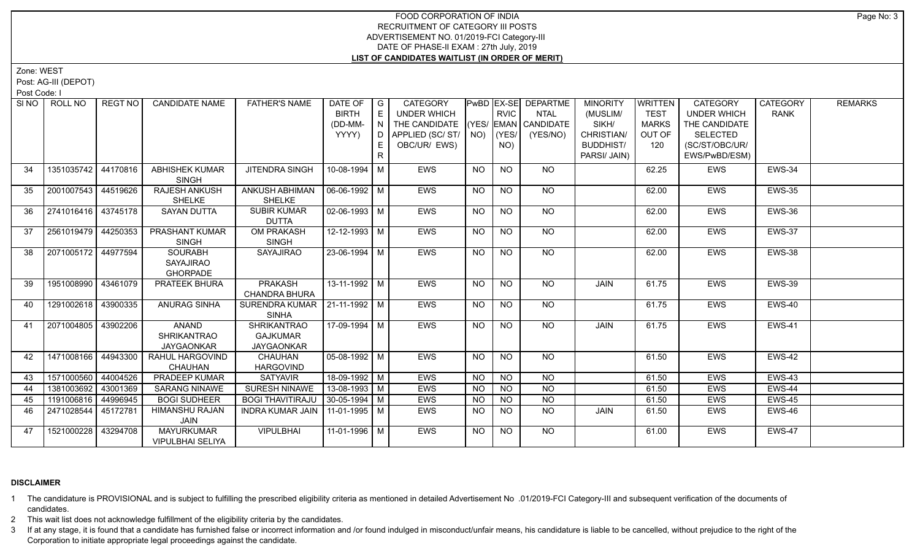Zone: WEST

Post: AG-III (DEPOT)

Post Code: I

|    | SINO   ROLL NO        | <b>REGT NO</b> | <b>CANDIDATE NAME</b>              | <b>FATHER'S NAME</b>            | DATE OF<br><b>BIRTH</b> | $\overline{\phantom{a}}$ G<br>E | <b>CATEGORY</b><br><b>UNDER WHICH</b> |             | <b>RVIC</b>    | <b>PwBD EX-SE DEPARTME</b><br><b>NTAL</b> | <b>MINORITY</b><br>(MUSLIM/ | <b>WRITTEN</b><br><b>TEST</b> | <b>CATEGORY</b><br><b>UNDER WHICH</b> | <b>CATEGORY</b><br><b>RANK</b> | <b>REMARKS</b> |
|----|-----------------------|----------------|------------------------------------|---------------------------------|-------------------------|---------------------------------|---------------------------------------|-------------|----------------|-------------------------------------------|-----------------------------|-------------------------------|---------------------------------------|--------------------------------|----------------|
|    |                       |                |                                    |                                 | (DD-MM-                 |                                 | THE CANDIDATE                         |             |                | $(YES/EMAN)$ CANDIDATE                    | SIKH/                       | <b>MARKS</b>                  | THE CANDIDATE                         |                                |                |
|    |                       |                |                                    |                                 | YYYY)                   | D                               | APPLIED (SC/ST/                       | $NO)$ (YES/ |                | (YES/NO)                                  | CHRISTIAN/                  | OUT OF                        | <b>SELECTED</b>                       |                                |                |
|    |                       |                |                                    |                                 |                         | E.                              | OBC/UR/ EWS)                          |             | NO)            |                                           | <b>BUDDHIST/</b>            | 120                           | (SC/ST/OBC/UR/                        |                                |                |
|    |                       |                |                                    |                                 |                         | R                               |                                       |             |                |                                           | PARSI/ JAIN)                |                               | EWS/PwBD/ESM)                         |                                |                |
|    |                       |                |                                    |                                 |                         |                                 |                                       |             |                |                                           |                             |                               |                                       |                                |                |
| 34 | 1351035742 44170816   |                | ABHISHEK KUMAR<br><b>SINGH</b>     | JITENDRA SINGH                  | 10-08-1994 M            |                                 | EWS                                   | <b>NO</b>   | <b>NO</b>      | <b>NO</b>                                 |                             | 62.25                         | EWS                                   | EWS-34                         |                |
| 35 | 2001007543 44519626   |                | RAJESH ANKUSH                      | ANKUSH ABHIMAN                  | 06-06-1992 M            |                                 | EWS                                   | <b>NO</b>   | <b>NO</b>      | NO                                        |                             | 62.00                         | <b>EWS</b>                            | <b>EWS-35</b>                  |                |
|    |                       |                | SHELKE                             | <b>SHELKE</b>                   |                         |                                 |                                       |             |                |                                           |                             |                               |                                       |                                |                |
| 36 | 2741016416 43745178   |                | <b>SAYAN DUTTA</b>                 | <b>SUBIR KUMAR</b>              | $02-06-1993$ M          |                                 | EWS                                   | <b>NO</b>   | <b>NO</b>      | NO                                        |                             | 62.00                         | <b>EWS</b>                            | EWS-36                         |                |
|    |                       |                |                                    | <b>DUTTA</b>                    |                         |                                 |                                       |             |                |                                           |                             |                               |                                       |                                |                |
| 37 | 2561019479   44250353 |                | PRASHANT KUMAR                     | OM PRAKASH                      | 12-12-1993 M            |                                 | EWS                                   | <b>NO</b>   | <b>NO</b>      | NO                                        |                             | 62.00                         | EWS                                   | EWS-37                         |                |
|    |                       |                | <b>SINGH</b>                       | <b>SINGH</b>                    |                         |                                 |                                       |             |                |                                           |                             |                               |                                       |                                |                |
| 38 | 2071005172 44977594   |                | <b>SOURABH</b><br><b>SAYAJIRAO</b> | SAYAJIRAO                       | $23 - 06 - 1994$ M      |                                 | EWS                                   | <b>NO</b>   | N <sub>O</sub> | <b>NO</b>                                 |                             | 62.00                         | <b>EWS</b>                            | <b>EWS-38</b>                  |                |
|    |                       |                | <b>GHORPADE</b>                    |                                 |                         |                                 |                                       |             |                |                                           |                             |                               |                                       |                                |                |
| 39 | 1951008990            | 43461079       | PRATEEK BHURA                      | PRAKASH                         | $13-11-1992$ M          |                                 | <b>EWS</b>                            | NO.         | <b>NO</b>      | NO.                                       | JAIN                        | 61.75                         | <b>EWS</b>                            | <b>EWS-39</b>                  |                |
|    |                       |                |                                    | <b>CHANDRA BHURA</b>            |                         |                                 |                                       |             |                |                                           |                             |                               |                                       |                                |                |
| 40 | 1291002618 43900335   |                | <b>ANURAG SINHA</b>                | SURENDRA KUMAR   21-11-1992   M |                         |                                 | EWS                                   | NO.         | <b>NO</b>      | NO                                        |                             | 61.75                         | <b>EWS</b>                            | EWS-40                         |                |
|    |                       |                |                                    | <b>SINHA</b>                    |                         |                                 |                                       |             |                |                                           |                             |                               |                                       |                                |                |
| 41 | 2071004805            | 43902206       | ANAND                              | <b>SHRIKANTRAO</b>              | 17-09-1994   M          |                                 | <b>EWS</b>                            | NO.         | <b>NO</b>      | NO.                                       | JAIN                        | 61.75                         | <b>EWS</b>                            | <b>EWS-41</b>                  |                |
|    |                       |                | <b>SHRIKANTRAO</b>                 | <b>GAJKUMAR</b>                 |                         |                                 |                                       |             |                |                                           |                             |                               |                                       |                                |                |
|    |                       |                | <b>JAYGAONKAR</b>                  | <b>JAYGAONKAR</b>               |                         |                                 |                                       |             |                |                                           |                             |                               |                                       |                                |                |
| 42 | 1471008166 44943300   |                | RAHUL HARGOVIND                    | CHAUHAN                         | $05-08-1992$ M          |                                 | EWS                                   | $N$ O       | $N$ O          | $N$ O                                     |                             | 61.50                         | <b>EWS</b>                            | EWS-42                         |                |
|    |                       |                | CHAUHAN                            | <b>HARGOVIND</b>                |                         |                                 |                                       |             |                |                                           |                             |                               |                                       |                                |                |
| 43 | 1571000560 44004526   |                | <b>PRADEEP KUMAR</b>               | <b>SATYAVIR</b>                 | 18-09-1992 M            |                                 | <b>EWS</b>                            | NO          | NO             | $N$ O                                     |                             | 61.50                         | <b>EWS</b>                            | <b>EWS-43</b>                  |                |
| 44 | 1381003692            | 43001369       | <b>SARANG NINAWE</b>               | SURESH NINAWE                   | 13-08-1993 M            |                                 | EWS                                   | <b>NO</b>   | <b>NO</b>      | <b>NO</b>                                 |                             | 61.50                         | <b>EWS</b>                            | EWS-44                         |                |
| 45 | 1191006816            | 44996945       | <b>BOGI SUDHEER</b>                | <b>BOGI THAVITIRAJU</b>         | $30-05-1994$ M          |                                 | EWS                                   | <b>NO</b>   | NO             | N <sub>O</sub>                            |                             | 61.50                         | <b>EWS</b>                            | EWS-45                         |                |
| 46 | 2471028544 45172781   |                | HIMANSHU RAJAN                     | INDRA KUMAR JAIN                | 11-01-1995 M            |                                 | EWS                                   | NO.         | <b>NO</b>      | NO.                                       | JAIN                        | 61.50                         | <b>EWS</b>                            | EWS-46                         |                |
|    |                       |                | JAIN                               |                                 |                         |                                 |                                       |             |                |                                           |                             |                               |                                       |                                |                |
| 47 | 1521000228 43294708   |                | <b>MAYURKUMAR</b>                  | <b>VIPULBHAI</b>                | 11-01-1996   M          |                                 | EWS                                   | <b>NO</b>   | <b>NO</b>      | NO.                                       |                             | 61.00                         | <b>EWS</b>                            | EWS-47                         |                |
|    |                       |                | <b>VIPULBHAI SELIYA</b>            |                                 |                         |                                 |                                       |             |                |                                           |                             |                               |                                       |                                |                |

#### **DISCLAIMER**

1 The candidature is PROVISIONAL and is subject to fulfilling the prescribed eligibility criteria as mentioned in detailed Advertisement No .01/2019-FCI Category-III and subsequent verification of the documents of candidates.

2 This wait list does not acknowledge fulfillment of the eligibility criteria by the candidates.

3 If at any stage, it is found that a candidate has furnished false or incorrect information and /or found indulged in misconduct/unfair means, his candidature is liable to be cancelled, without prejudice to the right of t Corporation to initiate appropriate legal proceedings against the candidate.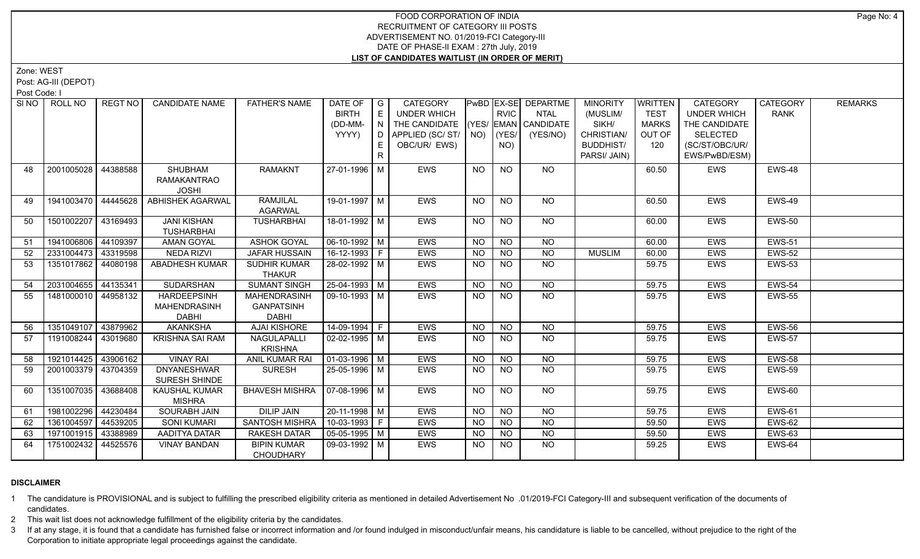Zone: WEST

Post: AG-III (DEPOT)

Post Code: I

| SI NO I | ROLL NO             | REGT NO  | <b>CANDIDATE NAME</b>                   | <b>FATHER'S NAME</b>  | DATE OF<br><b>BIRTH</b>      | G<br>E | <b>CATEGORY</b><br>UNDER WHICH |                | <b>RVIC</b>    | PwBD EX-SE DEPARTME<br><b>NTAL</b> | <b>MINORITY</b><br>(MUSLIM/ | <b>WRITTEN</b><br><b>TEST</b> | <b>CATEGORY</b><br><b>UNDER WHICH</b> | <b>CATEGORY</b><br><b>RANK</b> | <b>REMARKS</b> |
|---------|---------------------|----------|-----------------------------------------|-----------------------|------------------------------|--------|--------------------------------|----------------|----------------|------------------------------------|-----------------------------|-------------------------------|---------------------------------------|--------------------------------|----------------|
|         |                     |          |                                         |                       | (DD-MM-                      | N      | THE CANDIDATE                  |                |                | $(YES/EMAN)$ CANDIDATE             | SIKH/                       | <b>MARKS</b>                  | THE CANDIDATE                         |                                |                |
|         |                     |          |                                         |                       | YYYY)                        | D I    | APPLIED (SC/ ST/               | NO)            | (YES/          | (YES/NO)                           | CHRISTIAN/                  | OUT OF                        | <b>SELECTED</b>                       |                                |                |
|         |                     |          |                                         |                       |                              |        | OBC/UR/ EWS)                   |                | NO)            |                                    | <b>BUDDHIST/</b>            | 120                           | (SC/ST/OBC/UR/                        |                                |                |
|         |                     |          |                                         |                       |                              | R.     |                                |                |                |                                    | PARSI/ JAIN)                |                               | EWS/PwBD/ESM)                         |                                |                |
|         |                     |          |                                         |                       |                              |        |                                |                |                |                                    |                             |                               |                                       |                                |                |
| 48      | 2001005028          | 44388588 | SHUBHAM<br><b>RAMAKANTRAO</b>           | <b>RAMAKNT</b>        | 27-01-1996 M                 |        | <b>EWS</b>                     | <b>NO</b>      | <b>NO</b>      | NO.                                |                             | 60.50                         | <b>EWS</b>                            | EWS-48                         |                |
|         |                     |          | <b>JOSHI</b>                            |                       |                              |        |                                |                |                |                                    |                             |                               |                                       |                                |                |
| 49      | 1941003470 44445628 |          | <b>ABHISHEK AGARWAL</b>                 | <b>RAMJILAL</b>       | 19-01-1997   M               |        | EWS                            | NO.            | <b>NO</b>      | NO                                 |                             | 60.50                         | EWS                                   | EWS-49                         |                |
|         |                     |          |                                         | <b>AGARWAL</b>        |                              |        |                                |                |                |                                    |                             |                               |                                       |                                |                |
| 50      | 1501002207          | 43169493 | <b>JANI KISHAN</b><br><b>TUSHARBHAI</b> | <b>TUSHARBHAI</b>     | 18-01-1992 M                 |        | <b>EWS</b>                     | <b>NO</b>      | N <sub>O</sub> | <b>NO</b>                          |                             | 60.00                         | <b>EWS</b>                            | <b>EWS-50</b>                  |                |
| 51      | 1941006806          | 44109397 | <b>AMAN GOYAL</b>                       | <b>ASHOK GOYAL</b>    | $06-10-1992$ M               |        | EWS                            | <b>NO</b>      | <b>NO</b>      | <b>NO</b>                          |                             | 60.00                         | EWS                                   | <b>EWS-51</b>                  |                |
| 52      | 2331004473          | 43319598 | <b>NEDA RIZVI</b>                       | <b>JAFAR HUSSAIN</b>  | 16-12-1993 F                 |        | EWS                            | <b>NO</b>      | <b>NO</b>      | <b>NO</b>                          | <b>MUSLIM</b>               | 60.00                         | EWS                                   | <b>EWS-52</b>                  |                |
| 53      | 1351017862          | 44080198 | <b>ABADHESH KUMAR</b>                   | <b>SUDHIR KUMAR</b>   | 28-02-1992 M                 |        | EWS                            | <b>NO</b>      | <b>NO</b>      | <b>NO</b>                          |                             | 59.75                         | <b>EWS</b>                            | <b>EWS-53</b>                  |                |
|         |                     |          |                                         | <b>THAKUR</b>         |                              |        |                                |                |                |                                    |                             |                               |                                       |                                |                |
| 54      | 2031004655          | 44135341 | SUDARSHAN                               | <b>SUMANT SINGH</b>   | $25-04-1993$ M               |        | EWS                            | <b>NO</b>      | <b>NO</b>      | <b>NO</b>                          |                             | 59.75                         | EWS                                   | <b>EWS-54</b>                  |                |
| 55      | 1481000010 44958132 |          | <b>HARDEEPSINH</b>                      | <b>MAHENDRASINH</b>   | $\sqrt{09-10-1993}$ M        |        | EWS                            | NO.            | <b>NO</b>      | $\overline{NO}$                    |                             | 59.75                         | EWS                                   | <b>EWS-55</b>                  |                |
|         |                     |          | MAHENDRASINH                            | <b>GANPATSINH</b>     |                              |        |                                |                |                |                                    |                             |                               |                                       |                                |                |
|         |                     |          | <b>DABHI</b>                            | <b>DABHI</b>          |                              |        |                                |                |                |                                    |                             |                               |                                       |                                |                |
| 56      | 1351049107          | 43879962 | <b>AKANKSHA</b>                         | <b>AJAI KISHORE</b>   | 14-09-1994 F                 |        | EWS                            | <b>NO</b>      | <b>NO</b>      | <b>NO</b>                          |                             | 59.75                         | EWS                                   | <b>EWS-56</b>                  |                |
| 57      | 1191008244          | 43019680 | <b>KRISHNA SAI RAM</b>                  | NAGULAPALLI           | $02 - 02 - 1995$ M           |        | EWS                            | <b>NO</b>      | <b>NO</b>      | NO.                                |                             | 59.75                         | <b>EWS</b>                            | <b>EWS-57</b>                  |                |
|         |                     |          |                                         | <b>KRISHNA</b>        |                              |        |                                |                |                |                                    |                             |                               |                                       |                                |                |
| 58      | 1921014425 43906162 |          | <b>VINAY RAI</b>                        | ANIL KUMAR RAI        | $\vert$ 01-03-1996 $\vert$ M |        | <b>EWS</b>                     | <b>NO</b>      | <b>NO</b>      | $\overline{NQ}$                    |                             | 59.75                         | EWS                                   | <b>EWS-58</b>                  |                |
| 59      | 2001003379 43704359 |          | <b>DNYANESHWAR</b>                      | <b>SURESH</b>         | 25-05-1996 M                 |        | EWS                            | NO             | <b>NO</b>      | $N$ <sup>O</sup>                   |                             | 59.75                         | <b>EWS</b>                            | <b>EWS-59</b>                  |                |
|         |                     |          | SURESH SHINDE                           |                       |                              |        |                                |                |                |                                    |                             |                               |                                       |                                |                |
| 60      | 1351007035          | 43688408 | <b>KAUSHAL KUMAR</b>                    | <b>BHAVESH MISHRA</b> | 07-08-1996   M               |        | <b>EWS</b>                     | NO.            | <b>NO</b>      | <b>NO</b>                          |                             | 59.75                         | <b>EWS</b>                            | <b>EWS-60</b>                  |                |
|         |                     |          | <b>MISHRA</b>                           |                       |                              |        |                                |                |                |                                    |                             |                               |                                       |                                |                |
| 61      | 1981002296          | 44230484 | <b>SOURABH JAIN</b>                     | <b>DILIP JAIN</b>     | $20-11-1998$ M               |        | <b>EWS</b>                     | N <sub>O</sub> | N <sub>O</sub> | $N$ O                              |                             | 59.75                         | <b>EWS</b>                            | <b>EWS-61</b>                  |                |
| 62      | 1361004597          | 44539205 | <b>SONI KUMARI</b>                      | SANTOSH MISHRA        | $10-03-1993$ F               |        | EWS                            | NO.            | <b>NO</b>      | <b>NO</b>                          |                             | 59.50                         | <b>EWS</b>                            | <b>EWS-62</b>                  |                |
| 63      | 1971001915          | 43388989 | AADITYA DATAR                           | RAKESH DATAR          | $05-05-1995$ M               |        | EWS                            | <b>NO</b>      | <b>NO</b>      | $N$ O                              |                             | 59.50                         | EWS                                   | <b>EWS-63</b>                  |                |
| 64      | 1751002432          | 44525576 | <b>VINAY BANDAN</b>                     | <b>BIPIN KUMAR</b>    | 09-03-1992   M               |        | EWS                            | NO.            | NO.            | $N$ <sup>O</sup>                   |                             | 59.25                         | <b>EWS</b>                            | EWS-64                         |                |
|         |                     |          |                                         | <b>CHOUDHARY</b>      |                              |        |                                |                |                |                                    |                             |                               |                                       |                                |                |

#### **DISCLAIMER**

1 The candidature is PROVISIONAL and is subject to fulfilling the prescribed eligibility criteria as mentioned in detailed Advertisement No .01/2019-FCI Category-III and subsequent verification of the documents of candidates.

2 This wait list does not acknowledge fulfillment of the eligibility criteria by the candidates.

3 If at any stage, it is found that a candidate has furnished false or incorrect information and /or found indulged in misconduct/unfair means, his candidature is liable to be cancelled, without prejudice to the right of t Corporation to initiate appropriate legal proceedings against the candidate.